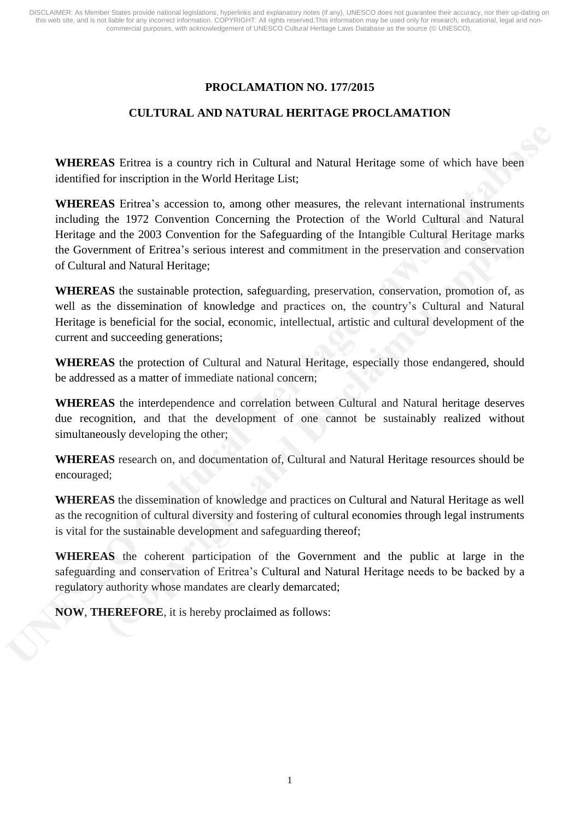# **PROCLAMATION NO. 177/2015**

# **CULTURAL AND NATURAL HERITAGE PROCLAMATION**

**WHEREAS** Eritrea is a country rich in Cultural and Natural Heritage some of which have been identified for inscription in the World Heritage List;

**WHEREAS** Eritrea's accession to, among other measures, the relevant international instruments including the 1972 Convention Concerning the Protection of the World Cultural and Natural Heritage and the 2003 Convention for the Safeguarding of the Intangible Cultural Heritage marks the Government of Eritrea's serious interest and commitment in the preservation and conservation of Cultural and Natural Heritage;

**WHEREAS** the sustainable protection, safeguarding, preservation, conservation, promotion of, as well as the dissemination of knowledge and practices on, the country's Cultural and Natural Heritage is beneficial for the social, economic, intellectual, artistic and cultural development of the current and succeeding generations;

**WHEREAS** the protection of Cultural and Natural Heritage, especially those endangered, should be addressed as a matter of immediate national concern;

**WHEREAS** the interdependence and correlation between Cultural and Natural heritage deserves due recognition, and that the development of one cannot be sustainably realized without simultaneously developing the other;

**WHEREAS** research on, and documentation of, Cultural and Natural Heritage resources should be encouraged;

**WHEREAS** the dissemination of knowledge and practices on Cultural and Natural Heritage as well as the recognition of cultural diversity and fostering of cultural economies through legal instruments is vital for the sustainable development and safeguarding thereof;

**WHEREAS** the coherent participation of the Government and the public at large in the safeguarding and conservation of Eritrea's Cultural and Natural Heritage needs to be backed by a regulatory authority whose mandates are clearly demarcated;

**NOW**, **THEREFORE**, it is hereby proclaimed as follows: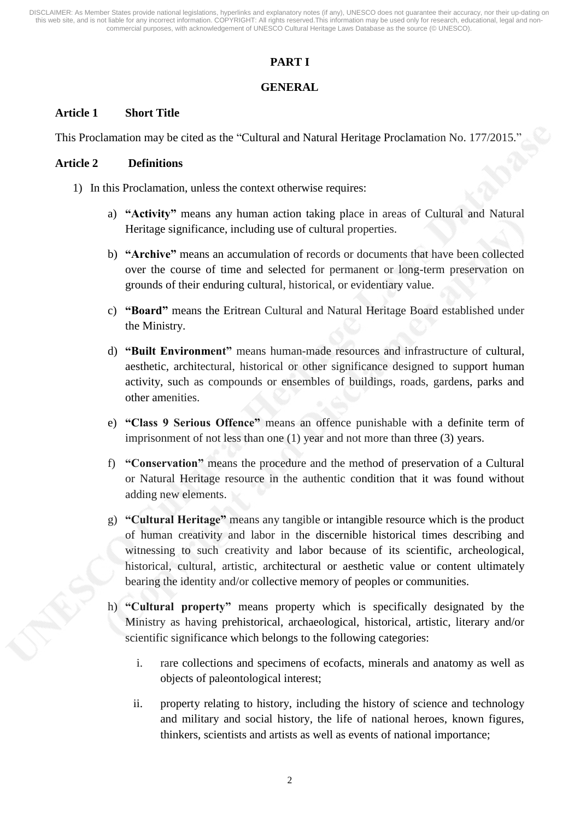# **PART I**

## **GENERAL**

## **Article 1 Short Title**

This Proclamation may be cited as the "Cultural and Natural Heritage Proclamation No. 177/2015."

#### **Article 2 Definitions**

- 1) In this Proclamation, unless the context otherwise requires:
	- a) **"Activity"** means any human action taking place in areas of Cultural and Natural Heritage significance, including use of cultural properties.
	- b) **"Archive"** means an accumulation of records or documents that have been collected over the course of time and selected for permanent or long-term preservation on grounds of their enduring cultural, historical, or evidentiary value.
	- c) **"Board"** means the Eritrean Cultural and Natural Heritage Board established under the Ministry.
	- d) **"Built Environment"** means human-made resources and infrastructure of cultural, aesthetic, architectural, historical or other significance designed to support human activity, such as compounds or ensembles of buildings, roads, gardens, parks and other amenities.
	- e) **"Class 9 Serious Offence"** means an offence punishable with a definite term of imprisonment of not less than one (1) year and not more than three (3) years.
	- f) **"Conservation"** means the procedure and the method of preservation of a Cultural or Natural Heritage resource in the authentic condition that it was found without adding new elements.
	- g) **"Cultural Heritage"** means any tangible or intangible resource which is the product of human creativity and labor in the discernible historical times describing and witnessing to such creativity and labor because of its scientific, archeological, historical, cultural, artistic, architectural or aesthetic value or content ultimately bearing the identity and/or collective memory of peoples or communities.
	- h) **"Cultural property"** means property which is specifically designated by the Ministry as having prehistorical, archaeological, historical, artistic, literary and/or scientific significance which belongs to the following categories:
		- i. rare collections and specimens of ecofacts, minerals and anatomy as well as objects of paleontological interest;
		- ii. property relating to history, including the history of science and technology and military and social history, the life of national heroes, known figures, thinkers, scientists and artists as well as events of national importance;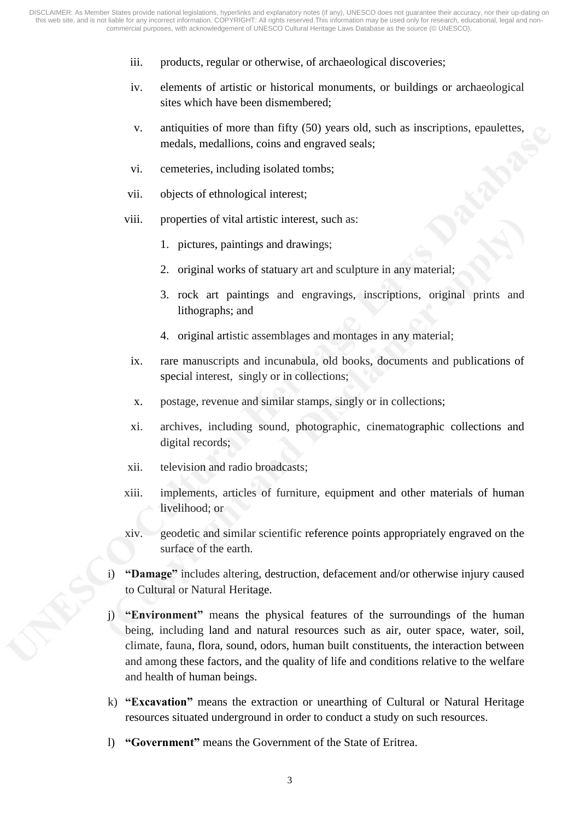- iii. products, regular or otherwise, of archaeological discoveries;
- iv. elements of artistic or historical monuments, or buildings or archaeological sites which have been dismembered;
- v. antiquities of more than fifty (50) years old, such as inscriptions, epaulettes, medals, medallions, coins and engraved seals;
- vi. cemeteries, including isolated tombs;
- vii. objects of ethnological interest;
- viii. properties of vital artistic interest, such as:
	- 1. pictures, paintings and drawings;
	- 2. original works of statuary art and sculpture in any material;
	- 3. rock art paintings and engravings, inscriptions, original prints and lithographs; and
	- 4. original artistic assemblages and montages in any material;
	- ix. rare manuscripts and incunabula, old books, documents and publications of special interest, singly or in collections;
	- x. postage, revenue and similar stamps, singly or in collections;
	- xi. archives, including sound, photographic, cinematographic collections and digital records;
- xii. television and radio broadcasts;
- xiii. implements, articles of furniture, equipment and other materials of human livelihood; or
- xiv. geodetic and similar scientific reference points appropriately engraved on the surface of the earth.
- i) **"Damage"** includes altering, destruction, defacement and/or otherwise injury caused to Cultural or Natural Heritage.
- j) **"Environment"** means the physical features of the surroundings of the human being, including land and natural resources such as air, outer space, water, soil, climate, fauna, flora, sound, odors, human built constituents, the interaction between and among these factors, and the quality of life and conditions relative to the welfare and health of human beings.
- k) **"Excavation"** means the extraction or unearthing of Cultural or Natural Heritage resources situated underground in order to conduct a study on such resources.
- l) **"Government"** means the Government of the State of Eritrea.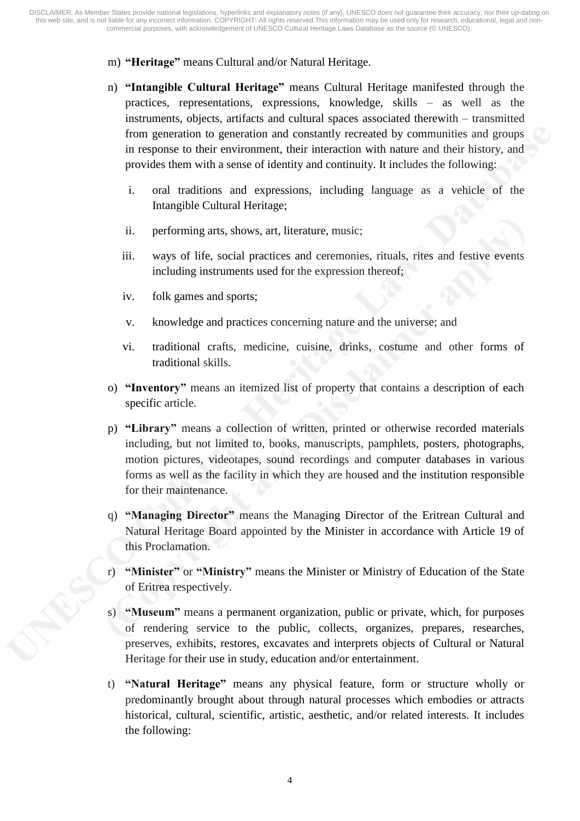- m) **"Heritage"** means Cultural and/or Natural Heritage.
- n) **"Intangible Cultural Heritage"** means Cultural Heritage manifested through the practices, representations, expressions, knowledge, skills – as well as the instruments, objects, artifacts and cultural spaces associated therewith – transmitted from generation to generation and constantly recreated by communities and groups in response to their environment, their interaction with nature and their history, and provides them with a sense of identity and continuity. It includes the following:
	- i. oral traditions and expressions, including language as a vehicle of the Intangible Cultural Heritage;
	- ii. performing arts, shows, art, literature, music;
	- iii. ways of life, social practices and ceremonies, rituals, rites and festive events including instruments used for the expression thereof;
	- iv. folk games and sports;
	- v. knowledge and practices concerning nature and the universe; and
	- vi. traditional crafts, medicine, cuisine, drinks, costume and other forms of traditional skills.
- o) **"Inventory"** means an itemized list of property that contains a description of each specific article.
- p) **"Library"** means a collection of written, printed or otherwise recorded materials including, but not limited to, books, manuscripts, pamphlets, posters, photographs, motion pictures, videotapes, sound recordings and computer databases in various forms as well as the facility in which they are housed and the institution responsible for their maintenance.
- q) **"Managing Director"** means the Managing Director of the Eritrean Cultural and Natural Heritage Board appointed by the Minister in accordance with Article 19 of this Proclamation.
- r) **"Minister"** or **"Ministry"** means the Minister or Ministry of Education of the State of Eritrea respectively.
- s) **"Museum"** means a permanent organization, public or private, which, for purposes of rendering service to the public, collects, organizes, prepares, researches, preserves, exhibits, restores, excavates and interprets objects of Cultural or Natural Heritage for their use in study, education and/or entertainment.
- t) **"Natural Heritage"** means any physical feature, form or structure wholly or predominantly brought about through natural processes which embodies or attracts historical, cultural, scientific, artistic, aesthetic, and/or related interests. It includes the following: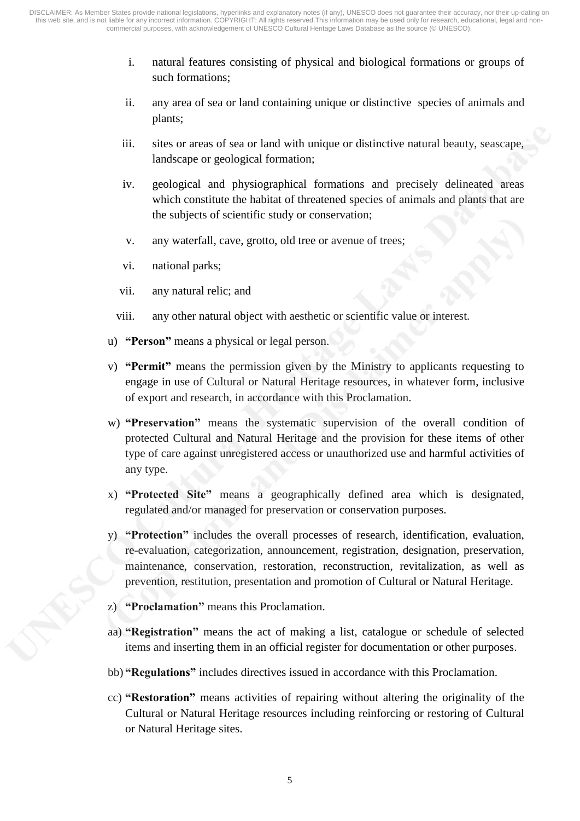- i. natural features consisting of physical and biological formations or groups of such formations;
- ii. any area of sea or land containing unique or distinctive species of animals and plants;
- iii. sites or areas of sea or land with unique or distinctive natural beauty, seascape, landscape or geological formation;
- iv. geological and physiographical formations and precisely delineated areas which constitute the habitat of threatened species of animals and plants that are the subjects of scientific study or conservation;
- v. any waterfall, cave, grotto, old tree or avenue of trees;
- vi. national parks;
- vii. any natural relic; and
- viii. any other natural object with aesthetic or scientific value or interest.
- u) **"Person"** means a physical or legal person.
- v) **"Permit"** means the permission given by the Ministry to applicants requesting to engage in use of Cultural or Natural Heritage resources, in whatever form, inclusive of export and research, in accordance with this Proclamation.
- w) **"Preservation"** means the systematic supervision of the overall condition of protected Cultural and Natural Heritage and the provision for these items of other type of care against unregistered access or unauthorized use and harmful activities of any type.
- x) **"Protected Site"** means a geographically defined area which is designated, regulated and/or managed for preservation or conservation purposes.
- y) **"Protection"** includes the overall processes of research, identification, evaluation, re-evaluation, categorization, announcement, registration, designation, preservation, maintenance, conservation, restoration, reconstruction, revitalization, as well as prevention, restitution, presentation and promotion of Cultural or Natural Heritage.
- z) **"Proclamation"** means this Proclamation.
- aa) **"Registration"** means the act of making a list, catalogue or schedule of selected items and inserting them in an official register for documentation or other purposes.
- bb) **"Regulations"** includes directives issued in accordance with this Proclamation.
- cc) **"Restoration"** means activities of repairing without altering the originality of the Cultural or Natural Heritage resources including reinforcing or restoring of Cultural or Natural Heritage sites.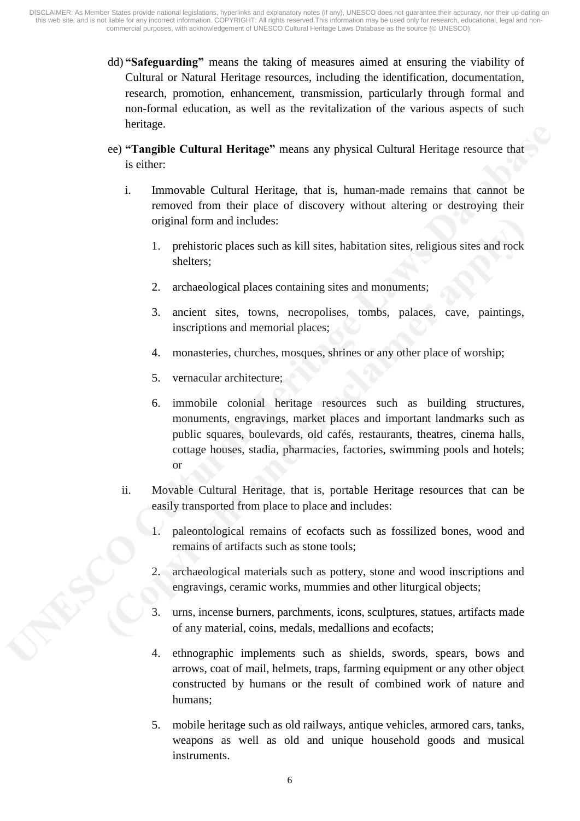- dd) **"Safeguarding"** means the taking of measures aimed at ensuring the viability of Cultural or Natural Heritage resources, including the identification, documentation, research, promotion, enhancement, transmission, particularly through formal and non-formal education, as well as the revitalization of the various aspects of such heritage.
- ee) **"Tangible Cultural Heritage"** means any physical Cultural Heritage resource that is either:
	- i. Immovable Cultural Heritage, that is, human-made remains that cannot be removed from their place of discovery without altering or destroying their original form and includes:
		- 1. prehistoric places such as kill sites, habitation sites, religious sites and rock shelters;
		- 2. archaeological places containing sites and monuments;
		- 3. ancient sites, towns, necropolises, tombs, palaces, cave, paintings, inscriptions and memorial places;
		- 4. monasteries, churches, mosques, shrines or any other place of worship;
		- 5. vernacular architecture;
		- 6. immobile colonial heritage resources such as building structures, monuments, engravings, market places and important landmarks such as public squares, boulevards, old cafés, restaurants, theatres, cinema halls, cottage houses, stadia, pharmacies, factories, swimming pools and hotels; or
	- ii. Movable Cultural Heritage, that is, portable Heritage resources that can be easily transported from place to place and includes:
		- 1. paleontological remains of ecofacts such as fossilized bones, wood and remains of artifacts such as stone tools;
		- 2. archaeological materials such as pottery, stone and wood inscriptions and engravings, ceramic works, mummies and other liturgical objects;
		- 3. urns, incense burners, parchments, icons, sculptures, statues, artifacts made of any material, coins, medals, medallions and ecofacts;
		- 4. ethnographic implements such as shields, swords, spears, bows and arrows, coat of mail, helmets, traps, farming equipment or any other object constructed by humans or the result of combined work of nature and humans;
		- 5. mobile heritage such as old railways, antique vehicles, armored cars, tanks, weapons as well as old and unique household goods and musical instruments.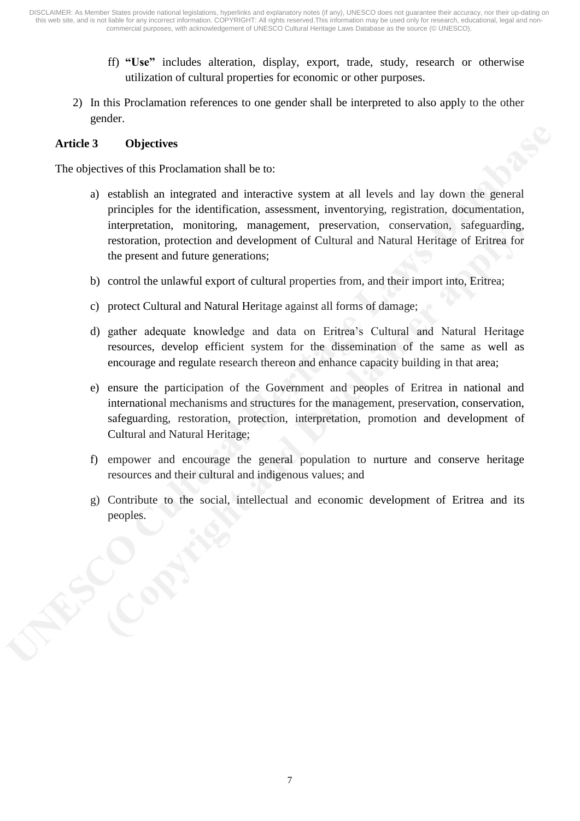- ff) **"Use"** includes alteration, display, export, trade, study, research or otherwise utilization of cultural properties for economic or other purposes.
- 2) In this Proclamation references to one gender shall be interpreted to also apply to the other gender.

## **Article 3 Objectives**

The objectives of this Proclamation shall be to:

- a) establish an integrated and interactive system at all levels and lay down the general principles for the identification, assessment, inventorying, registration, documentation, interpretation, monitoring, management, preservation, conservation, safeguarding, restoration, protection and development of Cultural and Natural Heritage of Eritrea for the present and future generations;
- b) control the unlawful export of cultural properties from, and their import into, Eritrea;
- c) protect Cultural and Natural Heritage against all forms of damage;
- d) gather adequate knowledge and data on Eritrea's Cultural and Natural Heritage resources, develop efficient system for the dissemination of the same as well as encourage and regulate research thereon and enhance capacity building in that area;
- e) ensure the participation of the Government and peoples of Eritrea in national and international mechanisms and structures for the management, preservation, conservation, safeguarding, restoration, protection, interpretation, promotion and development of Cultural and Natural Heritage;
- f) empower and encourage the general population to nurture and conserve heritage resources and their cultural and indigenous values; and
- g) Contribute to the social, intellectual and economic development of Eritrea and its peoples.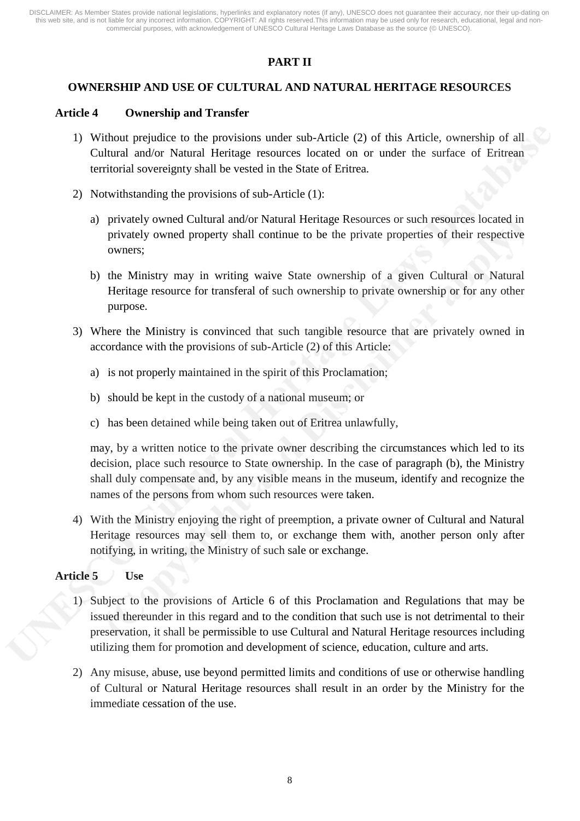# **PART II**

## **OWNERSHIP AND USE OF CULTURAL AND NATURAL HERITAGE RESOURCES**

#### **Article 4 Ownership and Transfer**

- 1) Without prejudice to the provisions under sub-Article (2) of this Article, ownership of all Cultural and/or Natural Heritage resources located on or under the surface of Eritrean territorial sovereignty shall be vested in the State of Eritrea.
- 2) Notwithstanding the provisions of sub-Article (1):
	- a) privately owned Cultural and/or Natural Heritage Resources or such resources located in privately owned property shall continue to be the private properties of their respective owners;
	- b) the Ministry may in writing waive State ownership of a given Cultural or Natural Heritage resource for transferal of such ownership to private ownership or for any other purpose.
- 3) Where the Ministry is convinced that such tangible resource that are privately owned in accordance with the provisions of sub-Article (2) of this Article:
	- a) is not properly maintained in the spirit of this Proclamation;
	- b) should be kept in the custody of a national museum; or
	- c) has been detained while being taken out of Eritrea unlawfully,

may, by a written notice to the private owner describing the circumstances which led to its decision, place such resource to State ownership. In the case of paragraph (b), the Ministry shall duly compensate and, by any visible means in the museum, identify and recognize the names of the persons from whom such resources were taken.

4) With the Ministry enjoying the right of preemption, a private owner of Cultural and Natural Heritage resources may sell them to, or exchange them with, another person only after notifying, in writing, the Ministry of such sale or exchange.

#### **Article 5 Use**

- 1) Subject to the provisions of Article 6 of this Proclamation and Regulations that may be issued thereunder in this regard and to the condition that such use is not detrimental to their preservation, it shall be permissible to use Cultural and Natural Heritage resources including utilizing them for promotion and development of science, education, culture and arts.
- 2) Any misuse, abuse, use beyond permitted limits and conditions of use or otherwise handling of Cultural or Natural Heritage resources shall result in an order by the Ministry for the immediate cessation of the use.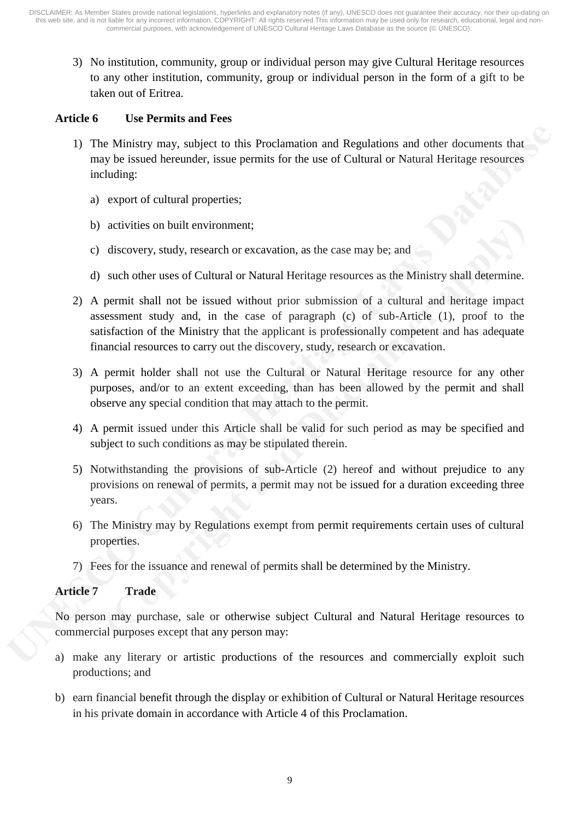3) No institution, community, group or individual person may give Cultural Heritage resources to any other institution, community, group or individual person in the form of a gift to be taken out of Eritrea.

#### **Article 6 Use Permits and Fees**

- 1) The Ministry may, subject to this Proclamation and Regulations and other documents that may be issued hereunder, issue permits for the use of Cultural or Natural Heritage resources including:
	- a) export of cultural properties;
	- b) activities on built environment;
	- c) discovery, study, research or excavation, as the case may be; and
	- d) such other uses of Cultural or Natural Heritage resources as the Ministry shall determine.
- 2) A permit shall not be issued without prior submission of a cultural and heritage impact assessment study and, in the case of paragraph (c) of sub-Article (1), proof to the satisfaction of the Ministry that the applicant is professionally competent and has adequate financial resources to carry out the discovery, study, research or excavation.
- 3) A permit holder shall not use the Cultural or Natural Heritage resource for any other purposes, and/or to an extent exceeding, than has been allowed by the permit and shall observe any special condition that may attach to the permit.
- 4) A permit issued under this Article shall be valid for such period as may be specified and subject to such conditions as may be stipulated therein.
- 5) Notwithstanding the provisions of sub-Article (2) hereof and without prejudice to any provisions on renewal of permits, a permit may not be issued for a duration exceeding three years.
- 6) The Ministry may by Regulations exempt from permit requirements certain uses of cultural properties.
- 7) Fees for the issuance and renewal of permits shall be determined by the Ministry.

# **Article 7 Trade**

No person may purchase, sale or otherwise subject Cultural and Natural Heritage resources to commercial purposes except that any person may:

- a) make any literary or artistic productions of the resources and commercially exploit such productions; and
- b) earn financial benefit through the display or exhibition of Cultural or Natural Heritage resources in his private domain in accordance with Article 4 of this Proclamation.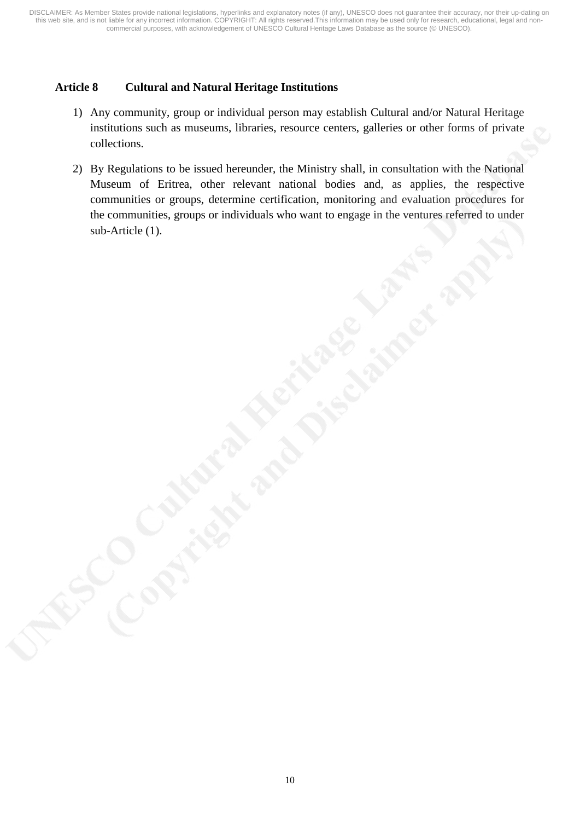# **Article 8 Cultural and Natural Heritage Institutions**

- 1) Any community, group or individual person may establish Cultural and/or Natural Heritage institutions such as museums, libraries, resource centers, galleries or other forms of private collections.
- 2) By Regulations to be issued hereunder, the Ministry shall, in consultation with the National Museum of Eritrea, other relevant national bodies and, as applies, the respective communities or groups, determine certification, monitoring and evaluation procedures for the communities, groups or individuals who want to engage in the ventures referred to under sub-Article (1).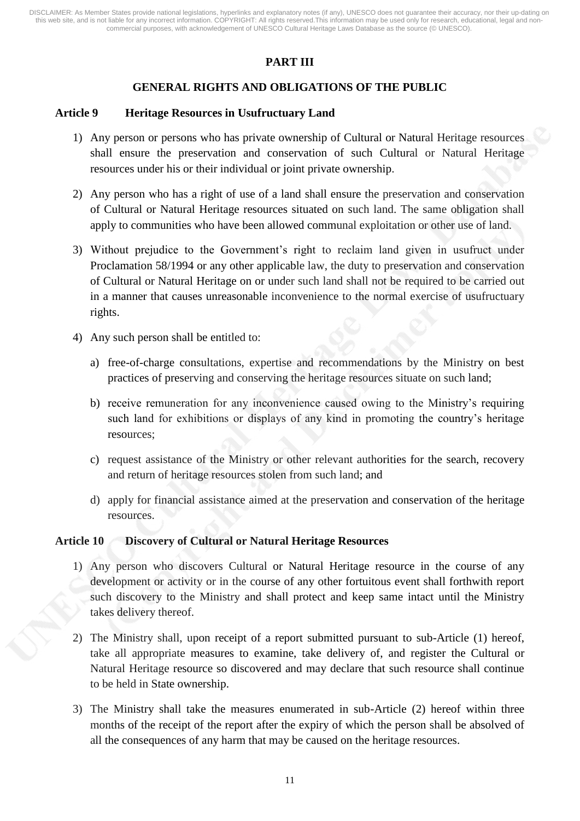# **PART III**

# **GENERAL RIGHTS AND OBLIGATIONS OF THE PUBLIC**

#### **Article 9 Heritage Resources in Usufructuary Land**

- 1) Any person or persons who has private ownership of Cultural or Natural Heritage resources shall ensure the preservation and conservation of such Cultural or Natural Heritage resources under his or their individual or joint private ownership.
- 2) Any person who has a right of use of a land shall ensure the preservation and conservation of Cultural or Natural Heritage resources situated on such land. The same obligation shall apply to communities who have been allowed communal exploitation or other use of land.
- 3) Without prejudice to the Government's right to reclaim land given in usufruct under Proclamation 58/1994 or any other applicable law, the duty to preservation and conservation of Cultural or Natural Heritage on or under such land shall not be required to be carried out in a manner that causes unreasonable inconvenience to the normal exercise of usufructuary rights.
- 4) Any such person shall be entitled to:
	- a) free-of-charge consultations, expertise and recommendations by the Ministry on best practices of preserving and conserving the heritage resources situate on such land;
	- b) receive remuneration for any inconvenience caused owing to the Ministry's requiring such land for exhibitions or displays of any kind in promoting the country's heritage resources;
	- c) request assistance of the Ministry or other relevant authorities for the search, recovery and return of heritage resources stolen from such land; and
	- d) apply for financial assistance aimed at the preservation and conservation of the heritage resources.

#### **Article 10 Discovery of Cultural or Natural Heritage Resources**

- 1) Any person who discovers Cultural or Natural Heritage resource in the course of any development or activity or in the course of any other fortuitous event shall forthwith report such discovery to the Ministry and shall protect and keep same intact until the Ministry takes delivery thereof.
- 2) The Ministry shall, upon receipt of a report submitted pursuant to sub-Article (1) hereof, take all appropriate measures to examine, take delivery of, and register the Cultural or Natural Heritage resource so discovered and may declare that such resource shall continue to be held in State ownership.
- 3) The Ministry shall take the measures enumerated in sub-Article (2) hereof within three months of the receipt of the report after the expiry of which the person shall be absolved of all the consequences of any harm that may be caused on the heritage resources.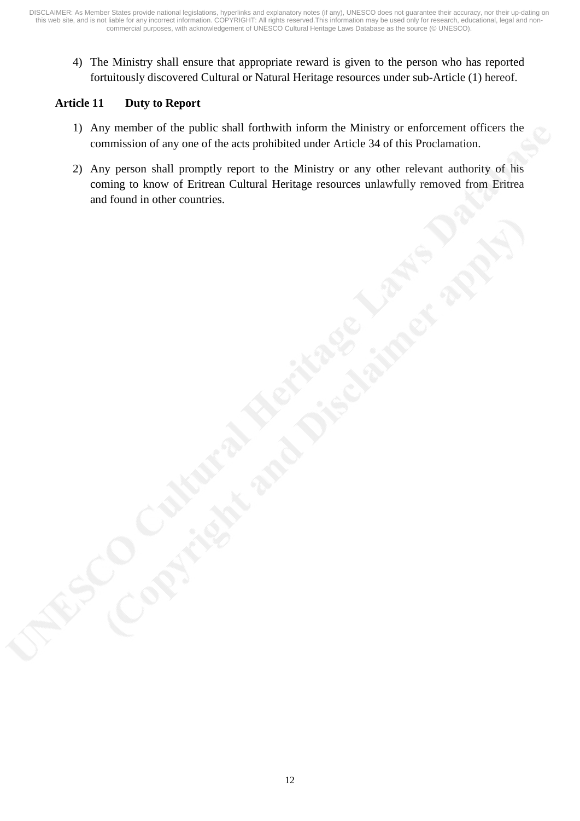4) The Ministry shall ensure that appropriate reward is given to the person who has reported fortuitously discovered Cultural or Natural Heritage resources under sub-Article (1) hereof.

# **Article 11 Duty to Report**

- 1) Any member of the public shall forthwith inform the Ministry or enforcement officers the commission of any one of the acts prohibited under Article 34 of this Proclamation.
- 2) Any person shall promptly report to the Ministry or any other relevant authority of his coming to know of Eritrean Cultural Heritage resources unlawfully removed from Eritrea and found in other countries.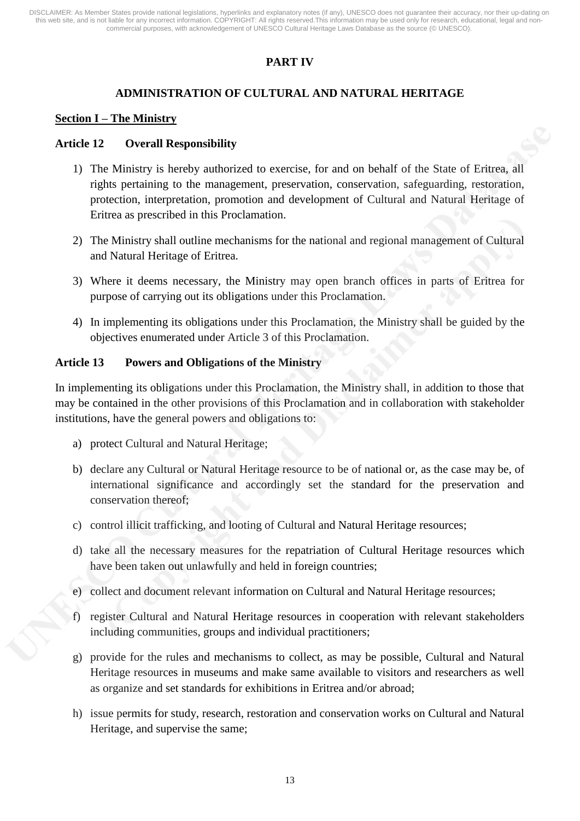# **PART IV**

# **ADMINISTRATION OF CULTURAL AND NATURAL HERITAGE**

#### **Section I – The Ministry**

### **Article 12 Overall Responsibility**

- 1) The Ministry is hereby authorized to exercise, for and on behalf of the State of Eritrea, all rights pertaining to the management, preservation, conservation, safeguarding, restoration, protection, interpretation, promotion and development of Cultural and Natural Heritage of Eritrea as prescribed in this Proclamation.
- 2) The Ministry shall outline mechanisms for the national and regional management of Cultural and Natural Heritage of Eritrea.
- 3) Where it deems necessary, the Ministry may open branch offices in parts of Eritrea for purpose of carrying out its obligations under this Proclamation.
- 4) In implementing its obligations under this Proclamation, the Ministry shall be guided by the objectives enumerated under Article 3 of this Proclamation.

## **Article 13 Powers and Obligations of the Ministry**

In implementing its obligations under this Proclamation, the Ministry shall, in addition to those that may be contained in the other provisions of this Proclamation and in collaboration with stakeholder institutions, have the general powers and obligations to:

- a) protect Cultural and Natural Heritage;
- b) declare any Cultural or Natural Heritage resource to be of national or, as the case may be, of international significance and accordingly set the standard for the preservation and conservation thereof;
- c) control illicit trafficking, and looting of Cultural and Natural Heritage resources;
- d) take all the necessary measures for the repatriation of Cultural Heritage resources which have been taken out unlawfully and held in foreign countries;
- e) collect and document relevant information on Cultural and Natural Heritage resources;
- f) register Cultural and Natural Heritage resources in cooperation with relevant stakeholders including communities, groups and individual practitioners;
- g) provide for the rules and mechanisms to collect, as may be possible, Cultural and Natural Heritage resources in museums and make same available to visitors and researchers as well as organize and set standards for exhibitions in Eritrea and/or abroad;
- h) issue permits for study, research, restoration and conservation works on Cultural and Natural Heritage, and supervise the same;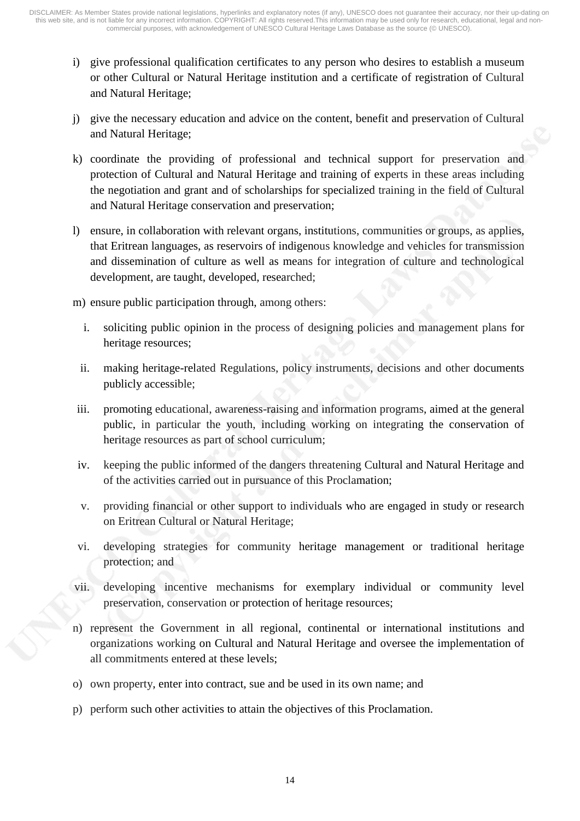- i) give professional qualification certificates to any person who desires to establish a museum or other Cultural or Natural Heritage institution and a certificate of registration of Cultural and Natural Heritage;
- j) give the necessary education and advice on the content, benefit and preservation of Cultural and Natural Heritage;
- k) coordinate the providing of professional and technical support for preservation and protection of Cultural and Natural Heritage and training of experts in these areas including the negotiation and grant and of scholarships for specialized training in the field of Cultural and Natural Heritage conservation and preservation;
- l) ensure, in collaboration with relevant organs, institutions, communities or groups, as applies, that Eritrean languages, as reservoirs of indigenous knowledge and vehicles for transmission and dissemination of culture as well as means for integration of culture and technological development, are taught, developed, researched;
- m) ensure public participation through, among others:
	- i. soliciting public opinion in the process of designing policies and management plans for heritage resources;
	- ii. making heritage-related Regulations, policy instruments, decisions and other documents publicly accessible;
- iii. promoting educational, awareness-raising and information programs, aimed at the general public, in particular the youth, including working on integrating the conservation of heritage resources as part of school curriculum;
- iv. keeping the public informed of the dangers threatening Cultural and Natural Heritage and of the activities carried out in pursuance of this Proclamation;
- v. providing financial or other support to individuals who are engaged in study or research on Eritrean Cultural or Natural Heritage;
- vi. developing strategies for community heritage management or traditional heritage protection; and
- vii. developing incentive mechanisms for exemplary individual or community level preservation, conservation or protection of heritage resources;
- n) represent the Government in all regional, continental or international institutions and organizations working on Cultural and Natural Heritage and oversee the implementation of all commitments entered at these levels;
- o) own property, enter into contract, sue and be used in its own name; and
- p) perform such other activities to attain the objectives of this Proclamation.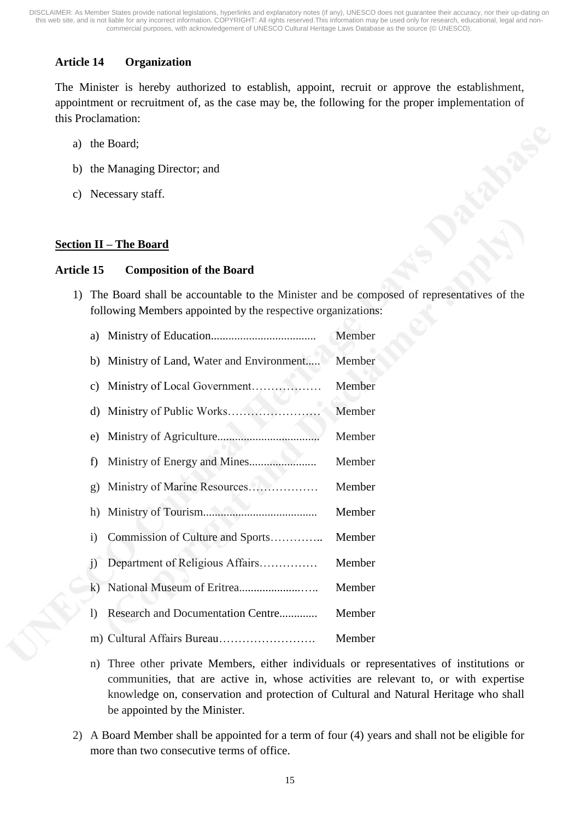# **Article 14 Organization**

The Minister is hereby authorized to establish, appoint, recruit or approve the establishment, appointment or recruitment of, as the case may be, the following for the proper implementation of this Proclamation:

- a) the Board;
- b) the Managing Director; and
- c) Necessary staff.

## **Section II – The Board**

#### **Article 15 Composition of the Board**

1) The Board shall be accountable to the Minister and be composed of representatives of the following Members appointed by the respective organizations:

|                                            | Member |
|--------------------------------------------|--------|
| b) Ministry of Land, Water and Environment | Member |
|                                            | Member |
|                                            | Member |
|                                            | Member |
|                                            | Member |
|                                            | Member |
|                                            | Member |
| i) Commission of Culture and Sports        | Member |
| j) Department of Religious Affairs         | Member |
|                                            | Member |
| 1) Research and Documentation Centre       | Member |
|                                            | Member |

- n) Three other private Members, either individuals or representatives of institutions or communities, that are active in, whose activities are relevant to, or with expertise knowledge on, conservation and protection of Cultural and Natural Heritage who shall be appointed by the Minister.
- 2) A Board Member shall be appointed for a term of four (4) years and shall not be eligible for more than two consecutive terms of office.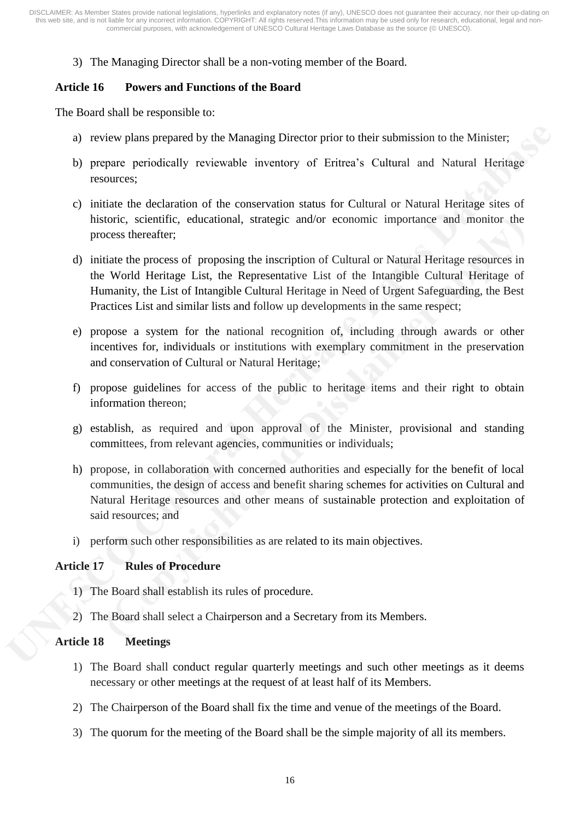3) The Managing Director shall be a non-voting member of the Board.

#### **Article 16 Powers and Functions of the Board**

The Board shall be responsible to:

- a) review plans prepared by the Managing Director prior to their submission to the Minister;
- b) prepare periodically reviewable inventory of Eritrea's Cultural and Natural Heritage resources;
- c) initiate the declaration of the conservation status for Cultural or Natural Heritage sites of historic, scientific, educational, strategic and/or economic importance and monitor the process thereafter;
- d) initiate the process of proposing the inscription of Cultural or Natural Heritage resources in the World Heritage List, the Representative List of the Intangible Cultural Heritage of Humanity, the List of Intangible Cultural Heritage in Need of Urgent Safeguarding, the Best Practices List and similar lists and follow up developments in the same respect;
- e) propose a system for the national recognition of, including through awards or other incentives for, individuals or institutions with exemplary commitment in the preservation and conservation of Cultural or Natural Heritage;
- f) propose guidelines for access of the public to heritage items and their right to obtain information thereon;
- g) establish, as required and upon approval of the Minister, provisional and standing committees, from relevant agencies, communities or individuals;
- h) propose, in collaboration with concerned authorities and especially for the benefit of local communities, the design of access and benefit sharing schemes for activities on Cultural and Natural Heritage resources and other means of sustainable protection and exploitation of said resources; and
- i) perform such other responsibilities as are related to its main objectives.

#### **Article 17 Rules of Procedure**

- 1) The Board shall establish its rules of procedure.
- 2) The Board shall select a Chairperson and a Secretary from its Members.

### **Article 18 Meetings**

- 1) The Board shall conduct regular quarterly meetings and such other meetings as it deems necessary or other meetings at the request of at least half of its Members.
- 2) The Chairperson of the Board shall fix the time and venue of the meetings of the Board.
- 3) The quorum for the meeting of the Board shall be the simple majority of all its members.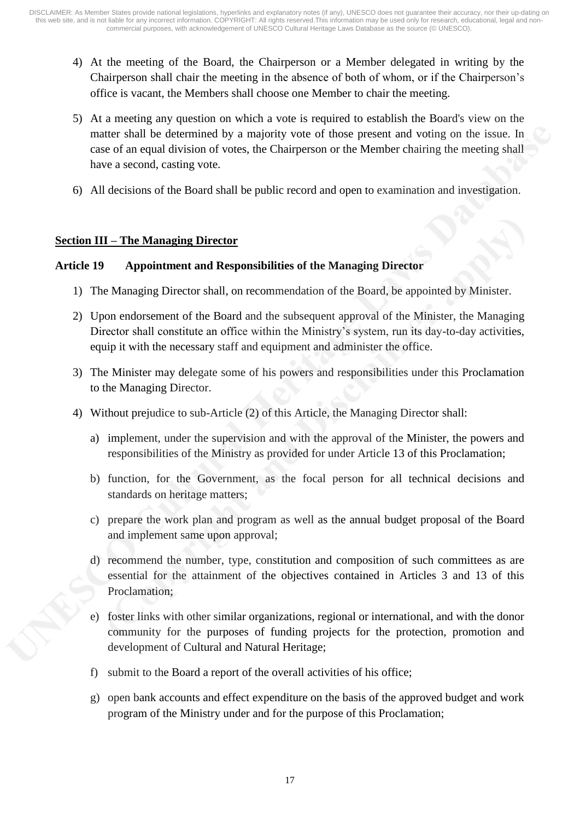- 4) At the meeting of the Board, the Chairperson or a Member delegated in writing by the Chairperson shall chair the meeting in the absence of both of whom, or if the Chairperson's office is vacant, the Members shall choose one Member to chair the meeting.
- 5) At a meeting any question on which a vote is required to establish the Board's view on the matter shall be determined by a majority vote of those present and voting on the issue. In case of an equal division of votes, the Chairperson or the Member chairing the meeting shall have a second, casting vote.
- 6) All decisions of the Board shall be public record and open to examination and investigation.

## **Section III – The Managing Director**

## **Article 19 Appointment and Responsibilities of the Managing Director**

- 1) The Managing Director shall, on recommendation of the Board, be appointed by Minister.
- 2) Upon endorsement of the Board and the subsequent approval of the Minister, the Managing Director shall constitute an office within the Ministry's system, run its day-to-day activities, equip it with the necessary staff and equipment and administer the office.
- 3) The Minister may delegate some of his powers and responsibilities under this Proclamation to the Managing Director.
- 4) Without prejudice to sub-Article (2) of this Article, the Managing Director shall:
	- a) implement, under the supervision and with the approval of the Minister, the powers and responsibilities of the Ministry as provided for under Article 13 of this Proclamation;
	- b) function, for the Government, as the focal person for all technical decisions and standards on heritage matters;
	- c) prepare the work plan and program as well as the annual budget proposal of the Board and implement same upon approval;
	- d) recommend the number, type, constitution and composition of such committees as are essential for the attainment of the objectives contained in Articles 3 and 13 of this Proclamation;
	- e) foster links with other similar organizations, regional or international, and with the donor community for the purposes of funding projects for the protection, promotion and development of Cultural and Natural Heritage;
	- f) submit to the Board a report of the overall activities of his office;
	- g) open bank accounts and effect expenditure on the basis of the approved budget and work program of the Ministry under and for the purpose of this Proclamation;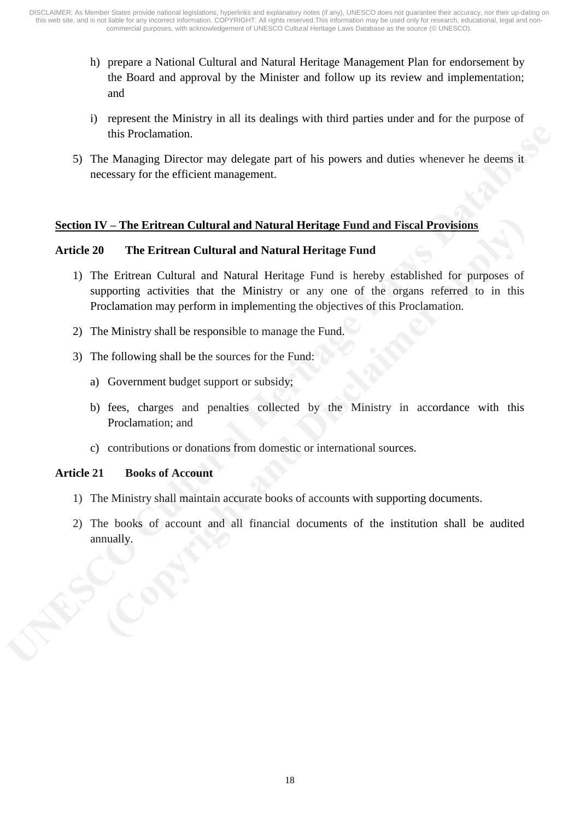- h) prepare a National Cultural and Natural Heritage Management Plan for endorsement by the Board and approval by the Minister and follow up its review and implementation; and
- i) represent the Ministry in all its dealings with third parties under and for the purpose of this Proclamation.
- 5) The Managing Director may delegate part of his powers and duties whenever he deems it necessary for the efficient management.

## **Section IV – The Eritrean Cultural and Natural Heritage Fund and Fiscal Provisions**

#### **Article 20 The Eritrean Cultural and Natural Heritage Fund**

- 1) The Eritrean Cultural and Natural Heritage Fund is hereby established for purposes of supporting activities that the Ministry or any one of the organs referred to in this Proclamation may perform in implementing the objectives of this Proclamation.
- 2) The Ministry shall be responsible to manage the Fund.
- 3) The following shall be the sources for the Fund:
	- a) Government budget support or subsidy;
	- b) fees, charges and penalties collected by the Ministry in accordance with this Proclamation; and
	- c) contributions or donations from domestic or international sources.

#### **Article 21 Books of Account**

- 1) The Ministry shall maintain accurate books of accounts with supporting documents.
- 2) The books of account and all financial documents of the institution shall be audited annually.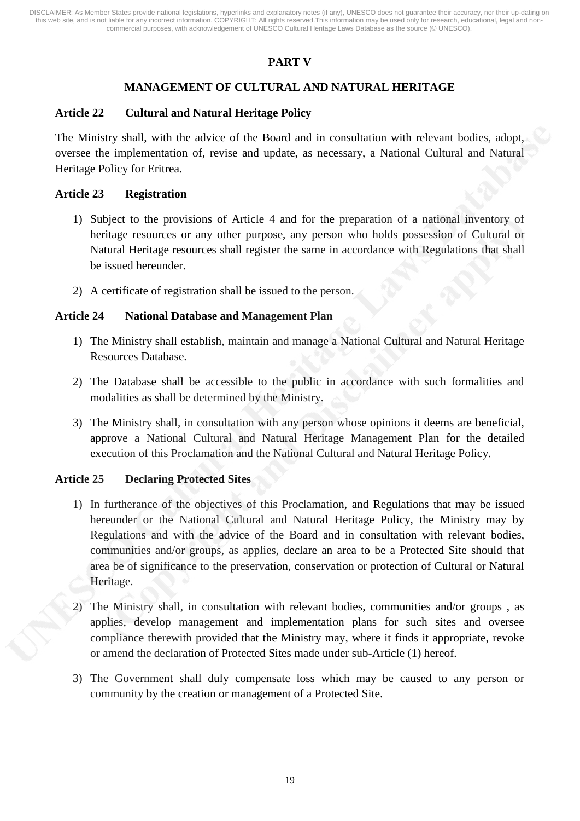# **PART V**

# **MANAGEMENT OF CULTURAL AND NATURAL HERITAGE**

#### **Article 22 Cultural and Natural Heritage Policy**

The Ministry shall, with the advice of the Board and in consultation with relevant bodies, adopt, oversee the implementation of, revise and update, as necessary, a National Cultural and Natural Heritage Policy for Eritrea.

#### **Article 23 Registration**

- 1) Subject to the provisions of Article 4 and for the preparation of a national inventory of heritage resources or any other purpose, any person who holds possession of Cultural or Natural Heritage resources shall register the same in accordance with Regulations that shall be issued hereunder.
- 2) A certificate of registration shall be issued to the person.

#### **Article 24 National Database and Management Plan**

- 1) The Ministry shall establish, maintain and manage a National Cultural and Natural Heritage Resources Database.
- 2) The Database shall be accessible to the public in accordance with such formalities and modalities as shall be determined by the Ministry.
- 3) The Ministry shall, in consultation with any person whose opinions it deems are beneficial, approve a National Cultural and Natural Heritage Management Plan for the detailed execution of this Proclamation and the National Cultural and Natural Heritage Policy.

#### **Article 25 Declaring Protected Sites**

- 1) In furtherance of the objectives of this Proclamation, and Regulations that may be issued hereunder or the National Cultural and Natural Heritage Policy, the Ministry may by Regulations and with the advice of the Board and in consultation with relevant bodies, communities and/or groups, as applies, declare an area to be a Protected Site should that area be of significance to the preservation, conservation or protection of Cultural or Natural Heritage.
- 2) The Ministry shall, in consultation with relevant bodies, communities and/or groups , as applies, develop management and implementation plans for such sites and oversee compliance therewith provided that the Ministry may, where it finds it appropriate, revoke or amend the declaration of Protected Sites made under sub-Article (1) hereof.
- 3) The Government shall duly compensate loss which may be caused to any person or community by the creation or management of a Protected Site.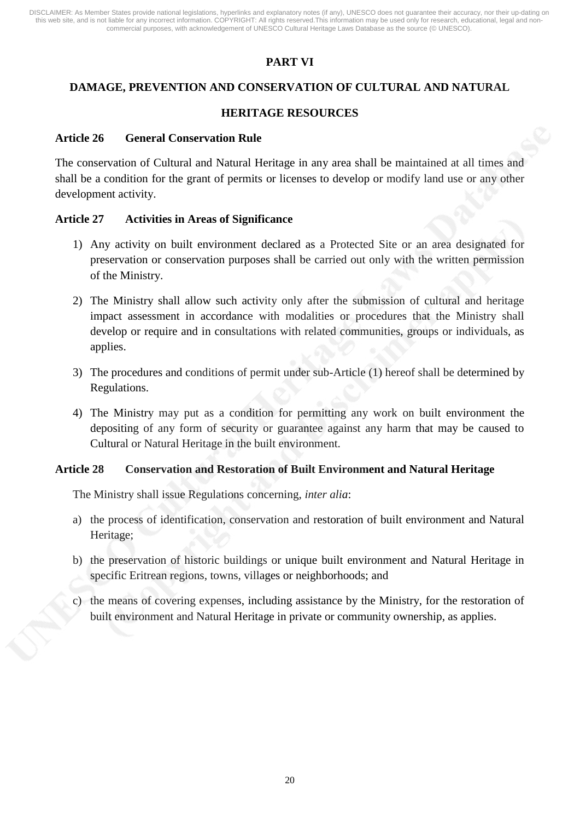# **PART VI**

# **DAMAGE, PREVENTION AND CONSERVATION OF CULTURAL AND NATURAL**

# **HERITAGE RESOURCES**

#### **Article 26 General Conservation Rule**

The conservation of Cultural and Natural Heritage in any area shall be maintained at all times and shall be a condition for the grant of permits or licenses to develop or modify land use or any other development activity.

## **Article 27 Activities in Areas of Significance**

- 1) Any activity on built environment declared as a Protected Site or an area designated for preservation or conservation purposes shall be carried out only with the written permission of the Ministry.
- 2) The Ministry shall allow such activity only after the submission of cultural and heritage impact assessment in accordance with modalities or procedures that the Ministry shall develop or require and in consultations with related communities, groups or individuals, as applies.
- 3) The procedures and conditions of permit under sub-Article (1) hereof shall be determined by Regulations.
- 4) The Ministry may put as a condition for permitting any work on built environment the depositing of any form of security or guarantee against any harm that may be caused to Cultural or Natural Heritage in the built environment.

#### **Article 28 Conservation and Restoration of Built Environment and Natural Heritage**

The Ministry shall issue Regulations concerning, *inter alia*:

- a) the process of identification, conservation and restoration of built environment and Natural Heritage;
- b) the preservation of historic buildings or unique built environment and Natural Heritage in specific Eritrean regions, towns, villages or neighborhoods; and
- c) the means of covering expenses, including assistance by the Ministry, for the restoration of built environment and Natural Heritage in private or community ownership, as applies.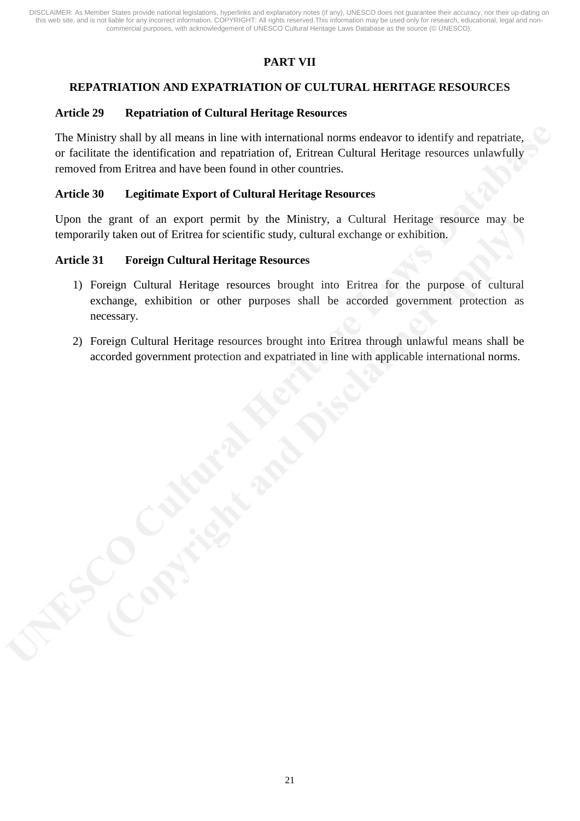# **PART VII**

# **REPATRIATION AND EXPATRIATION OF CULTURAL HERITAGE RESOURCES**

## **Article 29 Repatriation of Cultural Heritage Resources**

The Ministry shall by all means in line with international norms endeavor to identify and repatriate, or facilitate the identification and repatriation of, Eritrean Cultural Heritage resources unlawfully removed from Eritrea and have been found in other countries.

#### **Article 30 Legitimate Export of Cultural Heritage Resources**

Upon the grant of an export permit by the Ministry, a Cultural Heritage resource may be temporarily taken out of Eritrea for scientific study, cultural exchange or exhibition.

## **Article 31 Foreign Cultural Heritage Resources**

- 1) Foreign Cultural Heritage resources brought into Eritrea for the purpose of cultural exchange, exhibition or other purposes shall be accorded government protection as necessary.
- 2) Foreign Cultural Heritage resources brought into Eritrea through unlawful means shall be accorded government protection and expatriated in line with applicable international norms.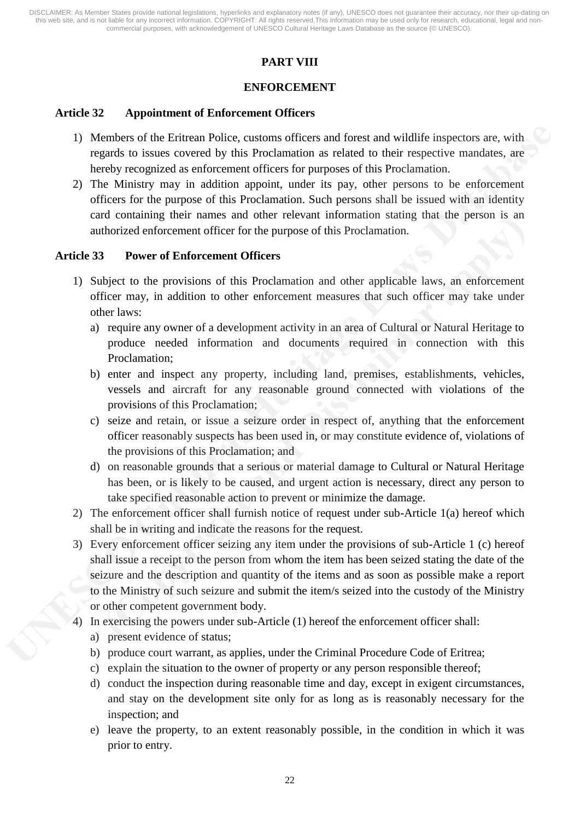# **PART VIII**

# **ENFORCEMENT**

### **Article 32 Appointment of Enforcement Officers**

- 1) Members of the Eritrean Police, customs officers and forest and wildlife inspectors are, with regards to issues covered by this Proclamation as related to their respective mandates, are hereby recognized as enforcement officers for purposes of this Proclamation.
- 2) The Ministry may in addition appoint, under its pay, other persons to be enforcement officers for the purpose of this Proclamation. Such persons shall be issued with an identity card containing their names and other relevant information stating that the person is an authorized enforcement officer for the purpose of this Proclamation.

#### **Article 33 Power of Enforcement Officers**

- 1) Subject to the provisions of this Proclamation and other applicable laws, an enforcement officer may, in addition to other enforcement measures that such officer may take under other laws:
	- a) require any owner of a development activity in an area of Cultural or Natural Heritage to produce needed information and documents required in connection with this Proclamation;
	- b) enter and inspect any property, including land, premises, establishments, vehicles, vessels and aircraft for any reasonable ground connected with violations of the provisions of this Proclamation;
	- c) seize and retain, or issue a seizure order in respect of, anything that the enforcement officer reasonably suspects has been used in, or may constitute evidence of, violations of the provisions of this Proclamation; and
	- d) on reasonable grounds that a serious or material damage to Cultural or Natural Heritage has been, or is likely to be caused, and urgent action is necessary, direct any person to take specified reasonable action to prevent or minimize the damage.
- 2) The enforcement officer shall furnish notice of request under sub-Article 1(a) hereof which shall be in writing and indicate the reasons for the request.
- 3) Every enforcement officer seizing any item under the provisions of sub-Article 1 (c) hereof shall issue a receipt to the person from whom the item has been seized stating the date of the seizure and the description and quantity of the items and as soon as possible make a report to the Ministry of such seizure and submit the item/s seized into the custody of the Ministry or other competent government body.
- 4) In exercising the powers under sub-Article (1) hereof the enforcement officer shall:
	- a) present evidence of status;
	- b) produce court warrant, as applies, under the Criminal Procedure Code of Eritrea;
	- c) explain the situation to the owner of property or any person responsible thereof;
	- d) conduct the inspection during reasonable time and day, except in exigent circumstances, and stay on the development site only for as long as is reasonably necessary for the inspection; and
	- e) leave the property, to an extent reasonably possible, in the condition in which it was prior to entry.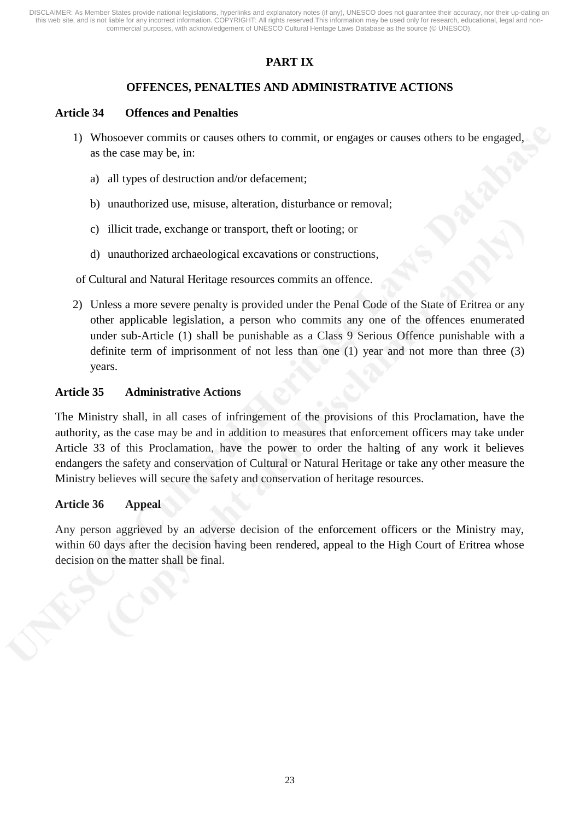# **PART IX**

# **OFFENCES, PENALTIES AND ADMINISTRATIVE ACTIONS**

### **Article 34 Offences and Penalties**

- 1) Whosoever commits or causes others to commit, or engages or causes others to be engaged, as the case may be, in:
	- a) all types of destruction and/or defacement;
	- b) unauthorized use, misuse, alteration, disturbance or removal;
	- c) illicit trade, exchange or transport, theft or looting; or
	- d) unauthorized archaeological excavations or constructions,

## of Cultural and Natural Heritage resources commits an offence.

2) Unless a more severe penalty is provided under the Penal Code of the State of Eritrea or any other applicable legislation, a person who commits any one of the offences enumerated under sub-Article (1) shall be punishable as a Class 9 Serious Offence punishable with a definite term of imprisonment of not less than one (1) year and not more than three (3) years.

## **Article 35 Administrative Actions**

The Ministry shall, in all cases of infringement of the provisions of this Proclamation, have the authority, as the case may be and in addition to measures that enforcement officers may take under Article 33 of this Proclamation, have the power to order the halting of any work it believes endangers the safety and conservation of Cultural or Natural Heritage or take any other measure the Ministry believes will secure the safety and conservation of heritage resources.

#### **Article 36 Appeal**

Any person aggrieved by an adverse decision of the enforcement officers or the Ministry may, within 60 days after the decision having been rendered, appeal to the High Court of Eritrea whose decision on the matter shall be final.